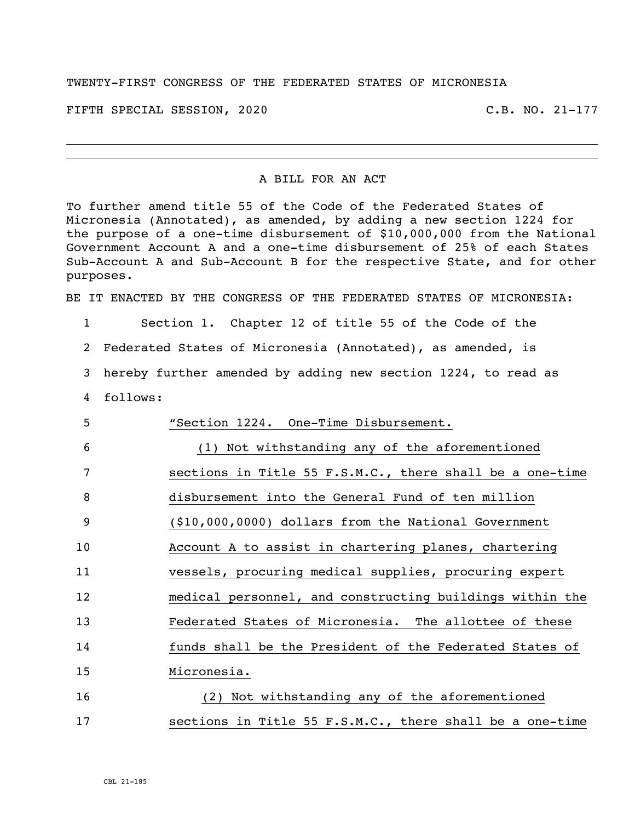## TWENTY-FIRST CONGRESS OF THE FEDERATED STATES OF MICRONESIA

FIFTH SPECIAL SESSION, 2020 C.B. NO. 21-177

## A BILL FOR AN ACT

To further amend title 55 of the Code of the Federated States of Micronesia (Annotated), as amended, by adding a new section 1224 for the purpose of a one-time disbursement of \$10,000,000 from the National Government Account A and a one-time disbursement of 25% of each States Sub-Account A and Sub-Account B for the respective State, and for other purposes.

BE IT ENACTED BY THE CONGRESS OF THE FEDERATED STATES OF MICRONESIA:

Section 1. Chapter 12 of title 55 of the Code of the

Federated States of Micronesia (Annotated), as amended, is

hereby further amended by adding new section 1224, to read as

follows:

| 5  | "Section 1224. One-Time Disbursement.                    |
|----|----------------------------------------------------------|
| 6  | (1) Not withstanding any of the aforementioned           |
| 7  | sections in Title 55 F.S.M.C., there shall be a one-time |
| 8  | disbursement into the General Fund of ten million        |
| 9  | (\$10,000,0000) dollars from the National Government     |
| 10 | Account A to assist in chartering planes, chartering     |
| 11 | vessels, procuring medical supplies, procuring expert    |
| 12 | medical personnel, and constructing buildings within the |
| 13 | Federated States of Micronesia. The allottee of these    |
| 14 | funds shall be the President of the Federated States of  |
| 15 | Micronesia.                                              |
| 16 | (2) Not withstanding any of the aforementioned           |
| 17 | sections in Title 55 F.S.M.C., there shall be a one-time |